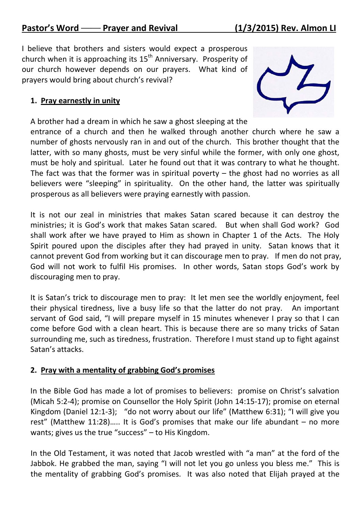I believe that brothers and sisters would expect a prosperous church when it is approaching its  $15<sup>th</sup>$  Anniversary. Prosperity of our church however depends on our prayers. What kind of prayers would bring about church's revival?

## **1. Pray earnestly in unity**

A brother had a dream in which he saw a ghost sleeping at the



entrance of a church and then he walked through another church where he saw a number of ghosts nervously ran in and out of the church. This brother thought that the latter, with so many ghosts, must be very sinful while the former, with only one ghost, must be holy and spiritual. Later he found out that it was contrary to what he thought. The fact was that the former was in spiritual poverty  $-$  the ghost had no worries as all believers were "sleeping" in spirituality. On the other hand, the latter was spiritually prosperous as all believers were praying earnestly with passion.

It is not our zeal in ministries that makes Satan scared because it can destroy the ministries; it is God's work that makes Satan scared. But when shall God work? God shall work after we have prayed to Him as shown in Chapter 1 of the Acts. The Holy Spirit poured upon the disciples after they had prayed in unity. Satan knows that it cannot prevent God from working but it can discourage men to pray. If men do not pray, God will not work to fulfil His promises. In other words, Satan stops God's work by discouraging men to pray.

It is Satan's trick to discourage men to pray: It let men see the worldly enjoyment, feel their physical tiredness, live a busy life so that the latter do not pray. An important servant of God said, "I will prepare myself in 15 minutes whenever I pray so that I can come before God with a clean heart. This is because there are so many tricks of Satan surrounding me, such as tiredness, frustration. Therefore I must stand up to fight against Satan's attacks.

## **2. Pray with a mentality of grabbing God's promises**

In the Bible God has made a lot of promises to believers: promise on Christ's salvation (Micah 5:2‐4); promise on Counsellor the Holy Spirit (John 14:15‐17); promise on eternal Kingdom (Daniel 12:1-3); "do not worry about our life" (Matthew 6:31); "I will give you rest" (Matthew 11:28)….. It is God's promises that make our life abundant – no more wants; gives us the true "success" – to His Kingdom.

In the Old Testament, it was noted that Jacob wrestled with "a man" at the ford of the Jabbok. He grabbed the man, saying "I will not let you go unless you bless me." This is the mentality of grabbing God's promises. It was also noted that Elijah prayed at the